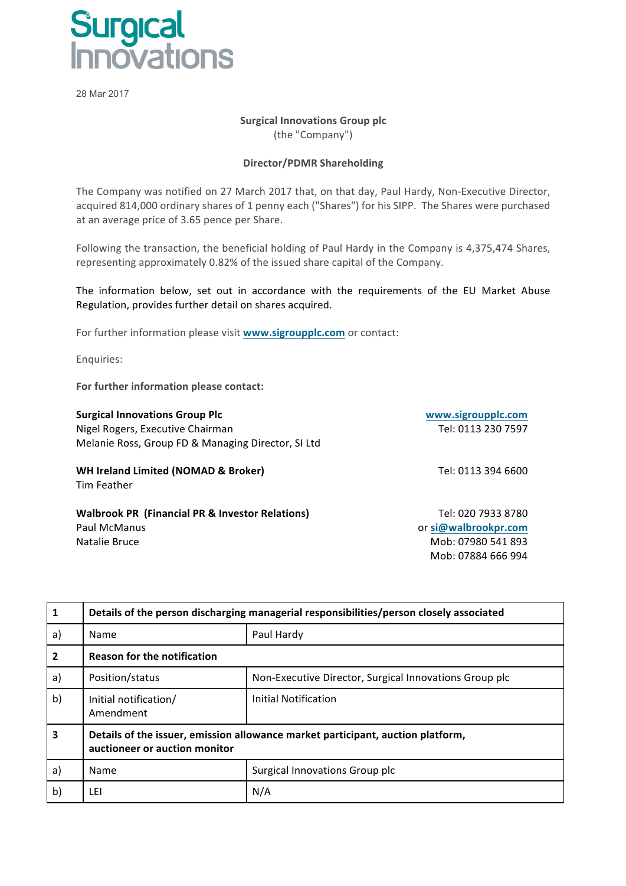

28 Mar 2017

## **Surgical Innovations Group plc**

(the "Company")

## **Director/PDMR Shareholding**

The Company was notified on 27 March 2017 that, on that day, Paul Hardy, Non-Executive Director, acquired 814,000 ordinary shares of 1 penny each ("Shares") for his SIPP. The Shares were purchased at an average price of 3.65 pence per Share.

Following the transaction, the beneficial holding of Paul Hardy in the Company is 4,375,474 Shares, representing approximately 0.82% of the issued share capital of the Company.

The information below, set out in accordance with the requirements of the EU Market Abuse Regulation, provides further detail on shares acquired.

For further information please visit **www.sigroupplc.com** or contact:

Enquiries:

For further information please contact:

| <b>Surgical Innovations Group Plc</b>                         | www.sigroupplc.com |
|---------------------------------------------------------------|--------------------|
| Nigel Rogers, Executive Chairman                              | Tel: 0113 230 7597 |
| Melanie Ross, Group FD & Managing Director, SI Ltd            |                    |
| <b>WH Ireland Limited (NOMAD &amp; Broker)</b><br>Tim Feather | Tel: 0113 394 6600 |

**Walbrook PR (Financial PR & Investor Relations)** Paul McManus Natalie Bruce **Mob:** 07980 541 893

Tel: 020 7933 8780 or **si@walbrookpr.com** Mob: 07884 666 994

| $\mathbf{1}$            | Details of the person discharging managerial responsibilities/person closely associated                          |                                                        |  |  |
|-------------------------|------------------------------------------------------------------------------------------------------------------|--------------------------------------------------------|--|--|
| a)                      | Name                                                                                                             | Paul Hardy                                             |  |  |
| $\mathbf{2}$            | <b>Reason for the notification</b>                                                                               |                                                        |  |  |
| a)                      | Position/status                                                                                                  | Non-Executive Director, Surgical Innovations Group plc |  |  |
| b)                      | Initial notification/<br>Amendment                                                                               | <b>Initial Notification</b>                            |  |  |
| $\overline{\mathbf{3}}$ | Details of the issuer, emission allowance market participant, auction platform,<br>auctioneer or auction monitor |                                                        |  |  |
| a)                      | Name                                                                                                             | Surgical Innovations Group plc                         |  |  |
| b)                      | LEI                                                                                                              | N/A                                                    |  |  |